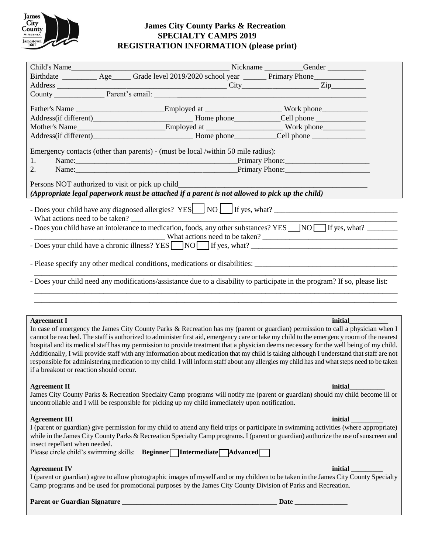

# **James City County Parks & Recreation SPECIALTY CAMPS 2019 REGISTRATION INFORMATION (please print)**

| Child's Name<br>Nickname __________Gender ___________<br>Birthdate ___________ Age______ Grade level 2019/2020 school year _______ Primary Phone_____________                                                                                                               |                      |  |  |  |                                                                        |  |
|-----------------------------------------------------------------------------------------------------------------------------------------------------------------------------------------------------------------------------------------------------------------------------|----------------------|--|--|--|------------------------------------------------------------------------|--|
|                                                                                                                                                                                                                                                                             |                      |  |  |  |                                                                        |  |
|                                                                                                                                                                                                                                                                             |                      |  |  |  | Address City Zip Zip Zip                                               |  |
|                                                                                                                                                                                                                                                                             |                      |  |  |  |                                                                        |  |
| Father's Name ____________________________Employed at ____________________________Work phone__________________                                                                                                                                                              |                      |  |  |  |                                                                        |  |
|                                                                                                                                                                                                                                                                             |                      |  |  |  |                                                                        |  |
|                                                                                                                                                                                                                                                                             |                      |  |  |  |                                                                        |  |
|                                                                                                                                                                                                                                                                             |                      |  |  |  | Address(if different)<br><u>Lome</u> phone<br>Cell phone<br>Cell phone |  |
| Emergency contacts (other than parents) - (must be local /within 50 mile radius):                                                                                                                                                                                           |                      |  |  |  |                                                                        |  |
| 1.                                                                                                                                                                                                                                                                          |                      |  |  |  |                                                                        |  |
| 2.                                                                                                                                                                                                                                                                          | Name: Primary Phone: |  |  |  |                                                                        |  |
| Persons NOT authorized to visit or pick up child                                                                                                                                                                                                                            |                      |  |  |  |                                                                        |  |
| (Appropriate legal paperwork must be attached if a parent is not allowed to pick up the child)                                                                                                                                                                              |                      |  |  |  |                                                                        |  |
|                                                                                                                                                                                                                                                                             |                      |  |  |  |                                                                        |  |
| What actions need to be taken?                                                                                                                                                                                                                                              |                      |  |  |  |                                                                        |  |
| - Does you child have an intolerance to medication, foods, any other substances? YES NO If yes, what?                                                                                                                                                                       |                      |  |  |  |                                                                        |  |
| $\blacksquare$                                                                                                                                                                                                                                                              |                      |  |  |  |                                                                        |  |
| - Does your child have a chronic illness? YES NO If yes, what?                                                                                                                                                                                                              |                      |  |  |  |                                                                        |  |
|                                                                                                                                                                                                                                                                             |                      |  |  |  |                                                                        |  |
| - Does your child need any modifications/assistance due to a disability to participate in the program? If so, please list:                                                                                                                                                  |                      |  |  |  |                                                                        |  |
|                                                                                                                                                                                                                                                                             |                      |  |  |  |                                                                        |  |
|                                                                                                                                                                                                                                                                             |                      |  |  |  |                                                                        |  |
| <b>Agreement I</b>                                                                                                                                                                                                                                                          |                      |  |  |  | initial                                                                |  |
| In case of emergency the James City County Parks & Recreation has my (parent or guardian) permission to call a physician when I<br>cannot be reached. The staff is authorized to administer first aid, emergency care or take my child to the emergency room of the nearest |                      |  |  |  |                                                                        |  |
| hospital and its medical staff has my permission to provide treatment that a physician deems necessary for the well being of my child.                                                                                                                                      |                      |  |  |  |                                                                        |  |
| Additionally, I will provide staff with any information about medication that my child is taking although I understand that staff are not                                                                                                                                   |                      |  |  |  |                                                                        |  |
| responsible for administering medication to my child. I will inform staff about any allergies my child has and what steps need to be taken                                                                                                                                  |                      |  |  |  |                                                                        |  |
| if a breakout or reaction should occur.                                                                                                                                                                                                                                     |                      |  |  |  |                                                                        |  |
|                                                                                                                                                                                                                                                                             |                      |  |  |  |                                                                        |  |
| initial<br><b>Agreement II</b>                                                                                                                                                                                                                                              |                      |  |  |  |                                                                        |  |
| James City County Parks & Recreation Specialty Camp programs will notify me (parent or guardian) should my child become ill or<br>uncontrollable and I will be responsible for picking up my child immediately upon notification.                                           |                      |  |  |  |                                                                        |  |
|                                                                                                                                                                                                                                                                             |                      |  |  |  |                                                                        |  |
| <b>Agreement III</b>                                                                                                                                                                                                                                                        |                      |  |  |  | <b>initial</b>                                                         |  |
| I (parent or guardian) give permission for my child to attend any field trips or participate in swimming activities (where appropriate)                                                                                                                                     |                      |  |  |  |                                                                        |  |
| while in the James City County Parks & Recreation Specialty Camp programs. I (parent or guardian) authorize the use of sunscreen and                                                                                                                                        |                      |  |  |  |                                                                        |  |
| insect repellant when needed.                                                                                                                                                                                                                                               |                      |  |  |  |                                                                        |  |
| Please circle child's swimming skills: Beginner Intermediate Advanced                                                                                                                                                                                                       |                      |  |  |  |                                                                        |  |
|                                                                                                                                                                                                                                                                             |                      |  |  |  |                                                                        |  |
| <b>Agreement IV</b>                                                                                                                                                                                                                                                         |                      |  |  |  | initial                                                                |  |
| I (parent or guardian) agree to allow photographic images of myself and or my children to be taken in the James City County Specialty<br>Camp programs and be used for promotional purposes by the James City County Division of Parks and Recreation.                      |                      |  |  |  |                                                                        |  |
|                                                                                                                                                                                                                                                                             |                      |  |  |  |                                                                        |  |

**Parent or Guardian Signature \_\_\_\_\_\_\_\_\_\_\_\_\_\_\_\_\_\_\_\_\_\_\_\_\_\_\_\_\_\_\_\_\_\_\_\_\_\_\_\_\_\_\_\_ Date \_\_\_\_\_\_\_\_\_\_\_\_\_\_\_**